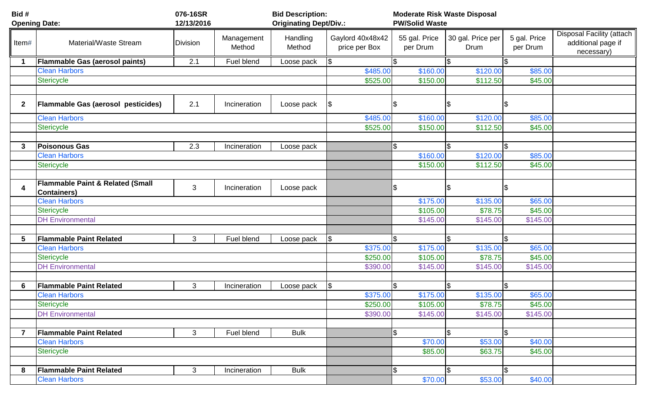| Disposal Facility (attach<br>5 gal. Price<br>Gaylord 40x48x42<br>30 gal. Price per<br>Management<br>Handling<br>55 gal. Price<br>additional page if<br>Material/Waste Stream<br>Item#<br><b>Division</b><br>Method<br>Method<br>Drum<br>per Drum<br>price per Box<br>per Drum<br>necessary)<br><b>Flammable Gas (aerosol paints)</b><br>2.1<br>Fuel blend<br>Loose pack<br> \$<br><b>Clean Harbors</b><br>\$485.00<br>\$160.00<br>\$120.00<br>\$85.00<br>Stericycle<br>\$150.00<br>\$112.50<br>\$45.00<br>\$525.00<br>2.1<br><b>Flammable Gas (aerosol pesticides)</b><br>Incineration<br>$\mathbf{2}$<br>Loose pack<br>15.<br><b>Clean Harbors</b><br>\$485.00<br>\$160.00<br>\$120.00<br>\$85.00<br>Stericycle<br>\$150.00<br>\$45.00<br>\$525.00<br>\$112.50<br><b>Poisonous Gas</b><br>2.3<br>\$<br>$\mathbf{3}$<br>Incineration<br>Loose pack<br><b>Clean Harbors</b><br>\$160.00<br>\$120.00<br>\$85.00<br><b>Stericycle</b><br>\$112.50<br>\$45.00<br>\$150.00<br><b>Flammable Paint &amp; Related (Small</b><br>3<br>4<br>Loose pack<br>Incineration<br><b>Containers</b> )<br><b>Clean Harbors</b><br>\$175.00<br>\$135.00<br>\$65.00<br><b>Stericycle</b><br>\$105.00<br>\$78.75<br>\$45.00<br><b>DH Environmental</b><br>\$145.00<br>\$145.00<br>\$145.00<br><b>Flammable Paint Related</b><br>3 <sup>1</sup><br>$\overline{\theta}$<br>5<br>Fuel blend<br>Loose pack<br><b>Clean Harbors</b><br>\$375.00<br>\$175.00<br>\$135.00<br>\$65.00<br>\$250.00<br>\$45.00<br><b>Stericycle</b><br>\$105.00<br>\$78.75<br><b>DH Environmental</b><br>\$390.00<br>\$145.00<br>\$145.00<br>\$145.00<br>$\overline{\theta}$<br><b>Flammable Paint Related</b><br>3<br>Incineration<br>6<br>Loose pack<br>\$375.00<br>\$175.00<br>\$135.00<br><b>Clean Harbors</b><br>\$65.00<br><b>Stericycle</b><br>\$250.00<br>\$105.00<br>\$78.75<br>\$45.00<br><b>DH Environmental</b><br>\$390.00<br>\$145.00<br>\$145.00<br>\$145.00<br><b>Flammable Paint Related</b><br>$\mathbf{3}$<br>Fuel blend<br><b>Bulk</b><br>$\mathfrak{S}$<br>$\overline{\theta}$<br>7<br>l\$<br>\$70.00<br>\$40.00<br><b>Clean Harbors</b><br>\$53.00<br><b>Stericycle</b><br>\$85.00<br>\$63.75<br>\$45.00<br><b>Bulk</b><br><b>Flammable Paint Related</b><br>$\mathbf{3}$<br>$\boldsymbol{\mathsf{S}}$<br>8<br>Incineration<br>\$40.00<br><b>Clean Harbors</b><br>\$70.00<br>\$53.00 | Bid#<br><b>Opening Date:</b> |  | 076-16SR<br>12/13/2016 | <b>Bid Description:</b><br><b>Originating Dept/Div.:</b> |  | <b>Moderate Risk Waste Disposal</b><br><b>PW/Solid Waste</b> |  |  |  |  |  |
|------------------------------------------------------------------------------------------------------------------------------------------------------------------------------------------------------------------------------------------------------------------------------------------------------------------------------------------------------------------------------------------------------------------------------------------------------------------------------------------------------------------------------------------------------------------------------------------------------------------------------------------------------------------------------------------------------------------------------------------------------------------------------------------------------------------------------------------------------------------------------------------------------------------------------------------------------------------------------------------------------------------------------------------------------------------------------------------------------------------------------------------------------------------------------------------------------------------------------------------------------------------------------------------------------------------------------------------------------------------------------------------------------------------------------------------------------------------------------------------------------------------------------------------------------------------------------------------------------------------------------------------------------------------------------------------------------------------------------------------------------------------------------------------------------------------------------------------------------------------------------------------------------------------------------------------------------------------------------------------------------------------------------------------------------------------------------------------------------------------------------------------------------------------------------------------------------------------------------------------------------------------------------------------------------------------------------------------------------------|------------------------------|--|------------------------|----------------------------------------------------------|--|--------------------------------------------------------------|--|--|--|--|--|
|                                                                                                                                                                                                                                                                                                                                                                                                                                                                                                                                                                                                                                                                                                                                                                                                                                                                                                                                                                                                                                                                                                                                                                                                                                                                                                                                                                                                                                                                                                                                                                                                                                                                                                                                                                                                                                                                                                                                                                                                                                                                                                                                                                                                                                                                                                                                                            |                              |  |                        |                                                          |  |                                                              |  |  |  |  |  |
|                                                                                                                                                                                                                                                                                                                                                                                                                                                                                                                                                                                                                                                                                                                                                                                                                                                                                                                                                                                                                                                                                                                                                                                                                                                                                                                                                                                                                                                                                                                                                                                                                                                                                                                                                                                                                                                                                                                                                                                                                                                                                                                                                                                                                                                                                                                                                            |                              |  |                        |                                                          |  |                                                              |  |  |  |  |  |
|                                                                                                                                                                                                                                                                                                                                                                                                                                                                                                                                                                                                                                                                                                                                                                                                                                                                                                                                                                                                                                                                                                                                                                                                                                                                                                                                                                                                                                                                                                                                                                                                                                                                                                                                                                                                                                                                                                                                                                                                                                                                                                                                                                                                                                                                                                                                                            |                              |  |                        |                                                          |  |                                                              |  |  |  |  |  |
|                                                                                                                                                                                                                                                                                                                                                                                                                                                                                                                                                                                                                                                                                                                                                                                                                                                                                                                                                                                                                                                                                                                                                                                                                                                                                                                                                                                                                                                                                                                                                                                                                                                                                                                                                                                                                                                                                                                                                                                                                                                                                                                                                                                                                                                                                                                                                            |                              |  |                        |                                                          |  |                                                              |  |  |  |  |  |
|                                                                                                                                                                                                                                                                                                                                                                                                                                                                                                                                                                                                                                                                                                                                                                                                                                                                                                                                                                                                                                                                                                                                                                                                                                                                                                                                                                                                                                                                                                                                                                                                                                                                                                                                                                                                                                                                                                                                                                                                                                                                                                                                                                                                                                                                                                                                                            |                              |  |                        |                                                          |  |                                                              |  |  |  |  |  |
|                                                                                                                                                                                                                                                                                                                                                                                                                                                                                                                                                                                                                                                                                                                                                                                                                                                                                                                                                                                                                                                                                                                                                                                                                                                                                                                                                                                                                                                                                                                                                                                                                                                                                                                                                                                                                                                                                                                                                                                                                                                                                                                                                                                                                                                                                                                                                            |                              |  |                        |                                                          |  |                                                              |  |  |  |  |  |
|                                                                                                                                                                                                                                                                                                                                                                                                                                                                                                                                                                                                                                                                                                                                                                                                                                                                                                                                                                                                                                                                                                                                                                                                                                                                                                                                                                                                                                                                                                                                                                                                                                                                                                                                                                                                                                                                                                                                                                                                                                                                                                                                                                                                                                                                                                                                                            |                              |  |                        |                                                          |  |                                                              |  |  |  |  |  |
|                                                                                                                                                                                                                                                                                                                                                                                                                                                                                                                                                                                                                                                                                                                                                                                                                                                                                                                                                                                                                                                                                                                                                                                                                                                                                                                                                                                                                                                                                                                                                                                                                                                                                                                                                                                                                                                                                                                                                                                                                                                                                                                                                                                                                                                                                                                                                            |                              |  |                        |                                                          |  |                                                              |  |  |  |  |  |
|                                                                                                                                                                                                                                                                                                                                                                                                                                                                                                                                                                                                                                                                                                                                                                                                                                                                                                                                                                                                                                                                                                                                                                                                                                                                                                                                                                                                                                                                                                                                                                                                                                                                                                                                                                                                                                                                                                                                                                                                                                                                                                                                                                                                                                                                                                                                                            |                              |  |                        |                                                          |  |                                                              |  |  |  |  |  |
|                                                                                                                                                                                                                                                                                                                                                                                                                                                                                                                                                                                                                                                                                                                                                                                                                                                                                                                                                                                                                                                                                                                                                                                                                                                                                                                                                                                                                                                                                                                                                                                                                                                                                                                                                                                                                                                                                                                                                                                                                                                                                                                                                                                                                                                                                                                                                            |                              |  |                        |                                                          |  |                                                              |  |  |  |  |  |
|                                                                                                                                                                                                                                                                                                                                                                                                                                                                                                                                                                                                                                                                                                                                                                                                                                                                                                                                                                                                                                                                                                                                                                                                                                                                                                                                                                                                                                                                                                                                                                                                                                                                                                                                                                                                                                                                                                                                                                                                                                                                                                                                                                                                                                                                                                                                                            |                              |  |                        |                                                          |  |                                                              |  |  |  |  |  |
|                                                                                                                                                                                                                                                                                                                                                                                                                                                                                                                                                                                                                                                                                                                                                                                                                                                                                                                                                                                                                                                                                                                                                                                                                                                                                                                                                                                                                                                                                                                                                                                                                                                                                                                                                                                                                                                                                                                                                                                                                                                                                                                                                                                                                                                                                                                                                            |                              |  |                        |                                                          |  |                                                              |  |  |  |  |  |
|                                                                                                                                                                                                                                                                                                                                                                                                                                                                                                                                                                                                                                                                                                                                                                                                                                                                                                                                                                                                                                                                                                                                                                                                                                                                                                                                                                                                                                                                                                                                                                                                                                                                                                                                                                                                                                                                                                                                                                                                                                                                                                                                                                                                                                                                                                                                                            |                              |  |                        |                                                          |  |                                                              |  |  |  |  |  |
|                                                                                                                                                                                                                                                                                                                                                                                                                                                                                                                                                                                                                                                                                                                                                                                                                                                                                                                                                                                                                                                                                                                                                                                                                                                                                                                                                                                                                                                                                                                                                                                                                                                                                                                                                                                                                                                                                                                                                                                                                                                                                                                                                                                                                                                                                                                                                            |                              |  |                        |                                                          |  |                                                              |  |  |  |  |  |
|                                                                                                                                                                                                                                                                                                                                                                                                                                                                                                                                                                                                                                                                                                                                                                                                                                                                                                                                                                                                                                                                                                                                                                                                                                                                                                                                                                                                                                                                                                                                                                                                                                                                                                                                                                                                                                                                                                                                                                                                                                                                                                                                                                                                                                                                                                                                                            |                              |  |                        |                                                          |  |                                                              |  |  |  |  |  |
|                                                                                                                                                                                                                                                                                                                                                                                                                                                                                                                                                                                                                                                                                                                                                                                                                                                                                                                                                                                                                                                                                                                                                                                                                                                                                                                                                                                                                                                                                                                                                                                                                                                                                                                                                                                                                                                                                                                                                                                                                                                                                                                                                                                                                                                                                                                                                            |                              |  |                        |                                                          |  |                                                              |  |  |  |  |  |
|                                                                                                                                                                                                                                                                                                                                                                                                                                                                                                                                                                                                                                                                                                                                                                                                                                                                                                                                                                                                                                                                                                                                                                                                                                                                                                                                                                                                                                                                                                                                                                                                                                                                                                                                                                                                                                                                                                                                                                                                                                                                                                                                                                                                                                                                                                                                                            |                              |  |                        |                                                          |  |                                                              |  |  |  |  |  |
|                                                                                                                                                                                                                                                                                                                                                                                                                                                                                                                                                                                                                                                                                                                                                                                                                                                                                                                                                                                                                                                                                                                                                                                                                                                                                                                                                                                                                                                                                                                                                                                                                                                                                                                                                                                                                                                                                                                                                                                                                                                                                                                                                                                                                                                                                                                                                            |                              |  |                        |                                                          |  |                                                              |  |  |  |  |  |
|                                                                                                                                                                                                                                                                                                                                                                                                                                                                                                                                                                                                                                                                                                                                                                                                                                                                                                                                                                                                                                                                                                                                                                                                                                                                                                                                                                                                                                                                                                                                                                                                                                                                                                                                                                                                                                                                                                                                                                                                                                                                                                                                                                                                                                                                                                                                                            |                              |  |                        |                                                          |  |                                                              |  |  |  |  |  |
|                                                                                                                                                                                                                                                                                                                                                                                                                                                                                                                                                                                                                                                                                                                                                                                                                                                                                                                                                                                                                                                                                                                                                                                                                                                                                                                                                                                                                                                                                                                                                                                                                                                                                                                                                                                                                                                                                                                                                                                                                                                                                                                                                                                                                                                                                                                                                            |                              |  |                        |                                                          |  |                                                              |  |  |  |  |  |
|                                                                                                                                                                                                                                                                                                                                                                                                                                                                                                                                                                                                                                                                                                                                                                                                                                                                                                                                                                                                                                                                                                                                                                                                                                                                                                                                                                                                                                                                                                                                                                                                                                                                                                                                                                                                                                                                                                                                                                                                                                                                                                                                                                                                                                                                                                                                                            |                              |  |                        |                                                          |  |                                                              |  |  |  |  |  |
|                                                                                                                                                                                                                                                                                                                                                                                                                                                                                                                                                                                                                                                                                                                                                                                                                                                                                                                                                                                                                                                                                                                                                                                                                                                                                                                                                                                                                                                                                                                                                                                                                                                                                                                                                                                                                                                                                                                                                                                                                                                                                                                                                                                                                                                                                                                                                            |                              |  |                        |                                                          |  |                                                              |  |  |  |  |  |
|                                                                                                                                                                                                                                                                                                                                                                                                                                                                                                                                                                                                                                                                                                                                                                                                                                                                                                                                                                                                                                                                                                                                                                                                                                                                                                                                                                                                                                                                                                                                                                                                                                                                                                                                                                                                                                                                                                                                                                                                                                                                                                                                                                                                                                                                                                                                                            |                              |  |                        |                                                          |  |                                                              |  |  |  |  |  |
|                                                                                                                                                                                                                                                                                                                                                                                                                                                                                                                                                                                                                                                                                                                                                                                                                                                                                                                                                                                                                                                                                                                                                                                                                                                                                                                                                                                                                                                                                                                                                                                                                                                                                                                                                                                                                                                                                                                                                                                                                                                                                                                                                                                                                                                                                                                                                            |                              |  |                        |                                                          |  |                                                              |  |  |  |  |  |
|                                                                                                                                                                                                                                                                                                                                                                                                                                                                                                                                                                                                                                                                                                                                                                                                                                                                                                                                                                                                                                                                                                                                                                                                                                                                                                                                                                                                                                                                                                                                                                                                                                                                                                                                                                                                                                                                                                                                                                                                                                                                                                                                                                                                                                                                                                                                                            |                              |  |                        |                                                          |  |                                                              |  |  |  |  |  |
|                                                                                                                                                                                                                                                                                                                                                                                                                                                                                                                                                                                                                                                                                                                                                                                                                                                                                                                                                                                                                                                                                                                                                                                                                                                                                                                                                                                                                                                                                                                                                                                                                                                                                                                                                                                                                                                                                                                                                                                                                                                                                                                                                                                                                                                                                                                                                            |                              |  |                        |                                                          |  |                                                              |  |  |  |  |  |
|                                                                                                                                                                                                                                                                                                                                                                                                                                                                                                                                                                                                                                                                                                                                                                                                                                                                                                                                                                                                                                                                                                                                                                                                                                                                                                                                                                                                                                                                                                                                                                                                                                                                                                                                                                                                                                                                                                                                                                                                                                                                                                                                                                                                                                                                                                                                                            |                              |  |                        |                                                          |  |                                                              |  |  |  |  |  |
|                                                                                                                                                                                                                                                                                                                                                                                                                                                                                                                                                                                                                                                                                                                                                                                                                                                                                                                                                                                                                                                                                                                                                                                                                                                                                                                                                                                                                                                                                                                                                                                                                                                                                                                                                                                                                                                                                                                                                                                                                                                                                                                                                                                                                                                                                                                                                            |                              |  |                        |                                                          |  |                                                              |  |  |  |  |  |
|                                                                                                                                                                                                                                                                                                                                                                                                                                                                                                                                                                                                                                                                                                                                                                                                                                                                                                                                                                                                                                                                                                                                                                                                                                                                                                                                                                                                                                                                                                                                                                                                                                                                                                                                                                                                                                                                                                                                                                                                                                                                                                                                                                                                                                                                                                                                                            |                              |  |                        |                                                          |  |                                                              |  |  |  |  |  |
|                                                                                                                                                                                                                                                                                                                                                                                                                                                                                                                                                                                                                                                                                                                                                                                                                                                                                                                                                                                                                                                                                                                                                                                                                                                                                                                                                                                                                                                                                                                                                                                                                                                                                                                                                                                                                                                                                                                                                                                                                                                                                                                                                                                                                                                                                                                                                            |                              |  |                        |                                                          |  |                                                              |  |  |  |  |  |
|                                                                                                                                                                                                                                                                                                                                                                                                                                                                                                                                                                                                                                                                                                                                                                                                                                                                                                                                                                                                                                                                                                                                                                                                                                                                                                                                                                                                                                                                                                                                                                                                                                                                                                                                                                                                                                                                                                                                                                                                                                                                                                                                                                                                                                                                                                                                                            |                              |  |                        |                                                          |  |                                                              |  |  |  |  |  |
|                                                                                                                                                                                                                                                                                                                                                                                                                                                                                                                                                                                                                                                                                                                                                                                                                                                                                                                                                                                                                                                                                                                                                                                                                                                                                                                                                                                                                                                                                                                                                                                                                                                                                                                                                                                                                                                                                                                                                                                                                                                                                                                                                                                                                                                                                                                                                            |                              |  |                        |                                                          |  |                                                              |  |  |  |  |  |
|                                                                                                                                                                                                                                                                                                                                                                                                                                                                                                                                                                                                                                                                                                                                                                                                                                                                                                                                                                                                                                                                                                                                                                                                                                                                                                                                                                                                                                                                                                                                                                                                                                                                                                                                                                                                                                                                                                                                                                                                                                                                                                                                                                                                                                                                                                                                                            |                              |  |                        |                                                          |  |                                                              |  |  |  |  |  |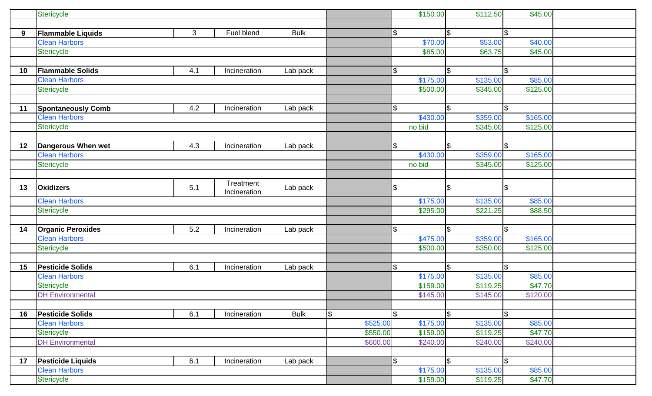|    | Stericycle                |     |                           |             |          | $\overline{$}150.00$ | \$112.50                 | \$45.00                  |  |
|----|---------------------------|-----|---------------------------|-------------|----------|----------------------|--------------------------|--------------------------|--|
|    |                           |     |                           |             |          |                      |                          |                          |  |
| 9  | <b>Flammable Liquids</b>  | 3   | Fuel blend                | <b>Bulk</b> |          | \$                   | \$                       | \$                       |  |
|    | <b>Clean Harbors</b>      |     |                           |             |          | \$70.00              | \$53.00                  | \$40.00                  |  |
|    | Stericycle                |     |                           |             |          | \$85.00              | \$63.75                  | \$45.00                  |  |
|    |                           |     |                           |             |          |                      |                          |                          |  |
| 10 | <b>Flammable Solids</b>   | 4.1 | Incineration              | Lab pack    |          | \$                   | $\overline{\mathcal{S}}$ |                          |  |
|    | <b>Clean Harbors</b>      |     |                           |             |          | \$175.00             | \$135.00                 | \$85.00                  |  |
|    | Stericycle                |     |                           |             |          | \$500.00             | \$345.00                 | \$125.00                 |  |
|    |                           |     |                           |             |          |                      |                          |                          |  |
| 11 | <b>Spontaneously Comb</b> | 4.2 | Incineration              | Lab pack    |          | \$                   | $\overline{\mathcal{E}}$ |                          |  |
|    | <b>Clean Harbors</b>      |     |                           |             |          | \$430.00             | \$359.00                 | \$165.00                 |  |
|    | Stericycle                |     |                           |             |          | no bid               | \$345.00                 | \$125.00                 |  |
|    |                           |     |                           |             |          |                      |                          |                          |  |
| 12 | Dangerous When wet        | 4.3 | Incineration              | Lab pack    |          | \$                   | <b>\$</b>                | \$                       |  |
|    | <b>Clean Harbors</b>      |     |                           |             |          | \$430.00             | \$359.00                 | \$165.00                 |  |
|    | Stericycle                |     |                           |             |          | no bid               | \$345.00                 | \$125.00                 |  |
|    |                           |     |                           |             |          |                      |                          |                          |  |
| 13 | <b>Oxidizers</b>          | 5.1 | Treatment<br>Incineration | Lab pack    |          | \$                   | $\overline{\mathcal{E}}$ |                          |  |
|    | <b>Clean Harbors</b>      |     |                           |             |          | \$175.00             | \$135.00                 | \$85.00                  |  |
|    | Stericycle                |     |                           |             |          | \$295.00             | \$221.25                 | \$88.50                  |  |
|    |                           |     |                           |             |          |                      |                          |                          |  |
| 14 | <b>Organic Peroxides</b>  | 5.2 | Incineration              | Lab pack    |          | \$                   | Ι\$                      | \$                       |  |
|    | <b>Clean Harbors</b>      |     |                           |             |          | \$475.00             | \$359.00                 | \$165.00                 |  |
|    | Stericycle                |     |                           |             |          | \$500.00             | \$350.00                 | \$125.00                 |  |
|    |                           |     |                           |             |          |                      |                          |                          |  |
| 15 | <b>Pesticide Solids</b>   | 6.1 | Incineration              | Lab pack    |          | \$                   | <b>\$</b>                | $\overline{\mathcal{E}}$ |  |
|    | <b>Clean Harbors</b>      |     |                           |             |          | \$175.00             | \$135.00                 | \$85.00                  |  |
|    | Stericycle                |     |                           |             |          | \$159.00             | \$119.25                 | \$47.70                  |  |
|    | <b>DH Environmental</b>   |     |                           |             |          | \$145.00             | \$145.00                 | \$120.00                 |  |
|    |                           |     |                           |             |          |                      |                          |                          |  |
| 16 | <b>Pesticide Solids</b>   | 6.1 | Incineration              | <b>Bulk</b> | \$       | \$                   | $\overline{\theta}$      | \$                       |  |
|    | <b>Clean Harbors</b>      |     |                           |             | \$525.00 | \$175.00             | \$135.00                 | \$85.00                  |  |
|    | <b>Stericycle</b>         |     | \$550.00                  | \$159.00    | \$119.25 | \$47.70              |                          |                          |  |
|    | <b>DH Environmental</b>   |     | \$600.00                  | \$240.00    | \$240.00 | \$240.00             |                          |                          |  |
|    |                           |     |                           |             |          |                      |                          |                          |  |
| 17 | <b>Pesticide Liquids</b>  | 6.1 | Incineration              | Lab pack    |          | \$                   | $\sqrt{3}$               | $\frac{1}{2}$            |  |
|    | <b>Clean Harbors</b>      |     |                           |             |          | \$175.00             | \$135.00                 | \$85.00                  |  |
|    | Stericycle                |     |                           | \$159.00    | \$119.25 | \$47.70              |                          |                          |  |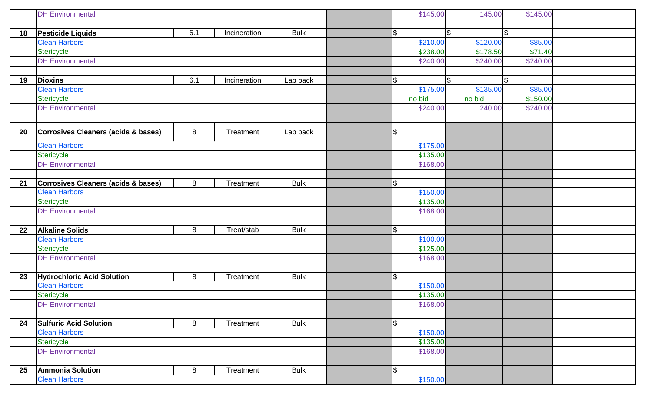| <b>Clean Harbors</b> |                                                             |     |              |             |          | \$150.00            |                          |          |  |
|----------------------|-------------------------------------------------------------|-----|--------------|-------------|----------|---------------------|--------------------------|----------|--|
| 25                   | <b>Ammonia Solution</b>                                     | 8   | Treatment    | <b>Bulk</b> |          | 1\$                 |                          |          |  |
|                      |                                                             |     |              |             |          |                     |                          |          |  |
|                      | <b>DH Environmental</b>                                     |     |              | \$168.00    |          |                     |                          |          |  |
|                      | <b>Stericycle</b>                                           |     |              | \$135.00    |          |                     |                          |          |  |
|                      | <b>Clean Harbors</b>                                        |     |              |             |          | \$150.00            |                          |          |  |
| 24                   | <b>Sulfuric Acid Solution</b>                               | 8   | Treatment    | <b>Bulk</b> |          | $\overline{\theta}$ |                          |          |  |
|                      | <b>DH Environmental</b>                                     |     |              | \$168.00    |          |                     |                          |          |  |
|                      | Stericycle                                                  |     |              | \$135.00    |          |                     |                          |          |  |
|                      | <b>Clean Harbors</b>                                        |     |              | \$150.00    |          |                     |                          |          |  |
| 23                   | <b>Hydrochloric Acid Solution</b>                           | 8   | Treatment    | <b>Bulk</b> |          | \$                  |                          |          |  |
|                      |                                                             |     |              |             |          |                     |                          |          |  |
|                      | <b>DH Environmental</b>                                     |     |              |             |          | \$168.00            |                          |          |  |
|                      | Stericycle                                                  |     |              |             |          | \$125.00            |                          |          |  |
|                      | <b>Clean Harbors</b>                                        |     |              |             |          | \$100.00            |                          |          |  |
| 22                   | <b>Alkaline Solids</b>                                      | 8   | Treat/stab   | <b>Bulk</b> |          | \$                  |                          |          |  |
|                      |                                                             |     |              |             |          |                     |                          |          |  |
|                      | <b>DH Environmental</b>                                     |     |              | \$168.00    |          |                     |                          |          |  |
|                      | Stericycle                                                  |     |              | \$135.00    |          |                     |                          |          |  |
| 21                   | Corrosives Cleaners (acids & bases)<br><b>Clean Harbors</b> | 8   | Treatment    |             |          | \$150.00            |                          |          |  |
|                      |                                                             |     |              | <b>Bulk</b> |          | \$                  |                          |          |  |
|                      | <b>DH Environmental</b>                                     |     |              | \$168.00    |          |                     |                          |          |  |
|                      | Stericycle                                                  |     |              |             |          | \$135.00            |                          |          |  |
|                      | <b>Clean Harbors</b>                                        |     |              |             |          | \$175.00            |                          |          |  |
| 20                   | Corrosives Cleaners (acids & bases)                         | 8   | Treatment    | Lab pack    |          | 1\$                 |                          |          |  |
|                      |                                                             |     |              |             |          |                     |                          |          |  |
|                      | <b>DH Environmental</b>                                     |     |              |             |          | \$240.00            | 240.00                   | \$240.00 |  |
|                      | Stericycle                                                  |     |              |             |          | no bid              | no bid                   | \$150.00 |  |
|                      | <b>Clean Harbors</b>                                        |     |              |             |          | \$175.00            | \$135.00                 | \$85.00  |  |
| 19                   | <b>Dioxins</b>                                              | 6.1 | Incineration | Lab pack    |          | 1\$                 | $\overline{\mathcal{E}}$ |          |  |
|                      | <b>DH Environmental</b>                                     |     |              |             |          | \$240.00            | \$240.00                 | \$240.00 |  |
|                      | Stericycle                                                  |     |              | \$238.00    | \$178.50 | \$71.40             |                          |          |  |
|                      | <b>Clean Harbors</b>                                        |     |              | \$210.00    | \$120.00 | \$85.00             |                          |          |  |
| 18                   | <b>Pesticide Liquids</b>                                    | 6.1 | Incineration | <b>Bulk</b> |          | 1\$                 | \$                       |          |  |
|                      |                                                             |     |              |             |          |                     |                          |          |  |
|                      | <b>DH Environmental</b>                                     |     |              |             | \$145.00 |                     | 145.00                   | \$145.00 |  |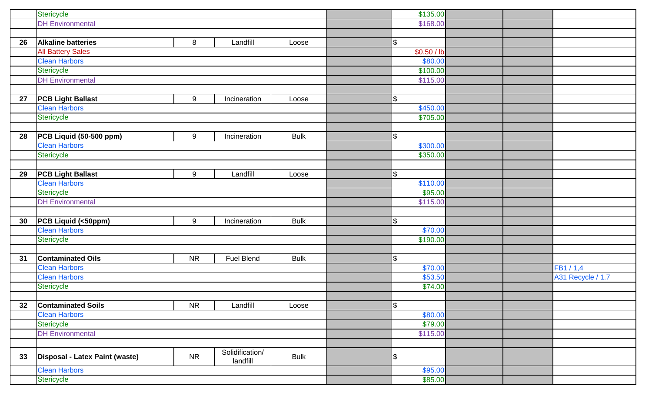|    | Stericycle                     |            |                             |             | \$135.00       |                   |
|----|--------------------------------|------------|-----------------------------|-------------|----------------|-------------------|
|    | <b>DH Environmental</b>        |            |                             |             | \$168.00       |                   |
|    |                                |            |                             |             |                |                   |
| 26 | <b>Alkaline batteries</b>      | 8          | Landfill                    | Loose       | l\$            |                   |
|    | <b>All Battery Sales</b>       |            |                             |             | \$0.50 / lb    |                   |
|    | <b>Clean Harbors</b>           |            |                             |             | \$80.00        |                   |
|    | Stericycle                     |            |                             |             | \$100.00       |                   |
|    | <b>DH Environmental</b>        |            |                             |             | \$115.00       |                   |
|    |                                |            |                             |             |                |                   |
| 27 | <b>PCB Light Ballast</b>       | 9          | Incineration                | Loose       | 1\$            |                   |
|    | <b>Clean Harbors</b>           |            |                             |             | \$450.00       |                   |
|    | Stericycle                     |            |                             |             | \$705.00       |                   |
|    |                                |            |                             |             |                |                   |
| 28 | PCB Liquid (50-500 ppm)        | 9          | Incineration                | <b>Bulk</b> | $\mathfrak{L}$ |                   |
|    | <b>Clean Harbors</b>           |            |                             |             | \$300.00       |                   |
|    | Stericycle                     |            |                             |             | \$350.00       |                   |
|    |                                |            |                             |             |                |                   |
| 29 | <b>PCB Light Ballast</b>       | 9          | Landfill                    | Loose       | $\mathfrak{S}$ |                   |
|    | <b>Clean Harbors</b>           |            |                             |             | \$110.00       |                   |
|    | Stericycle                     |            |                             |             | \$95.00        |                   |
|    | <b>DH Environmental</b>        |            |                             |             | \$115.00       |                   |
|    |                                |            |                             |             |                |                   |
| 30 | PCB Liquid (<50ppm)            | 9          | Incineration                | <b>Bulk</b> | l\$            |                   |
|    | <b>Clean Harbors</b>           |            |                             |             | \$70.00        |                   |
|    | Stericycle                     |            |                             |             | \$190.00       |                   |
|    |                                |            |                             |             |                |                   |
| 31 | <b>Contaminated Oils</b>       | <b>NR</b>  | <b>Fuel Blend</b>           | <b>Bulk</b> | I\$            |                   |
|    | <b>Clean Harbors</b>           |            |                             |             | \$70.00        | FB1 / 1,4         |
|    | <b>Clean Harbors</b>           |            |                             |             | \$53.50        | A31 Recycle / 1.7 |
|    | Stericycle                     |            |                             |             | \$74.00        |                   |
| 32 | <b>Contaminated Soils</b>      | <b>NR</b>  | Landfill                    |             | 1\$            |                   |
|    | <b>Clean Harbors</b>           |            |                             | Loose       | \$80.00        |                   |
|    | Stericycle                     |            |                             |             | \$79.00        |                   |
|    | <b>DH Environmental</b>        |            |                             |             | \$115.00       |                   |
|    |                                |            |                             |             |                |                   |
| 33 | Disposal - Latex Paint (waste) | ${\sf NR}$ | Solidification/<br>landfill | <b>Bulk</b> | 1\$            |                   |
|    | <b>Clean Harbors</b>           |            |                             |             | \$95.00        |                   |
|    | Stericycle                     |            |                             |             | \$85.00        |                   |